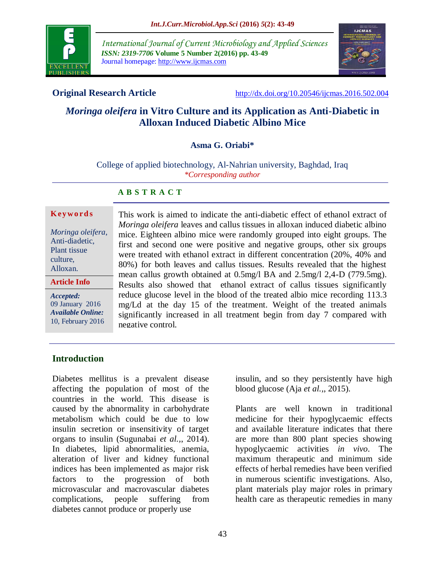

*International Journal of Current Microbiology and Applied Sciences ISSN: 2319-7706* **Volume 5 Number 2(2016) pp. 43-49** Journal homepage: http://www.ijcmas.com



**Original Research Article** <http://dx.doi.org/10.20546/ijcmas.2016.502.004>

insulin, and so they persistently have high

Plants are well known in traditional medicine for their hypoglycaemic effects and available literature indicates that there are more than 800 plant species showing hypoglycaemic activities *in vivo*. The maximum therapeutic and minimum side effects of herbal remedies have been verified in numerous scientific investigations. Also, plant materials play major roles in primary health care as therapeutic remedies in many

blood glucose (Aja *et al.,*, 2015).

# *Moringa oleifera* **in Vitro Culture and its Application as Anti-Diabetic in Alloxan Induced Diabetic Albino Mice**

#### **Asma G. Oriabi\***

College of applied biotechnology, Al-Nahrian university, Baghdad, Iraq *\*Corresponding author*

#### **A B S T R A C T**

#### **K ey w o rd s**

*Moringa oleifera*, Anti-diadetic, Plant tissue culture, Alloxan.

**Article Info**

*Accepted:*  09 January 2016 *Available Online:* 10, February 2016 This work is aimed to indicate the anti-diabetic effect of ethanol extract of *Moringa oleifera* leaves and callus tissues in alloxan induced diabetic albino mice. Eighteen albino mice were randomly grouped into eight groups. The first and second one were positive and negative groups, other six groups were treated with ethanol extract in different concentration (20%, 40% and 80%) for both leaves and callus tissues. Results revealed that the highest mean callus growth obtained at 0.5mg/l BA and 2.5mg/l 2,4-D (779.5mg). Results also showed that ethanol extract of callus tissues significantly reduce glucose level in the blood of the treated albio mice recording 113.3 mg/Ld at the day 15 of the treatment. Weight of the treated animals significantly increased in all treatment begin from day 7 compared with negative control.

## **Introduction**

Diabetes mellitus is a prevalent disease affecting the population of most of the countries in the world. This disease is caused by the abnormality in carbohydrate metabolism which could be due to low insulin secretion or insensitivity of target organs to insulin (Sugunabai *et al.,*, 2014). In diabetes, lipid abnormalities, anemia, alteration of liver and kidney functional indices has been implemented as major risk factors to the progression of both microvascular and macrovascular diabetes complications, people suffering from diabetes cannot produce or properly use

43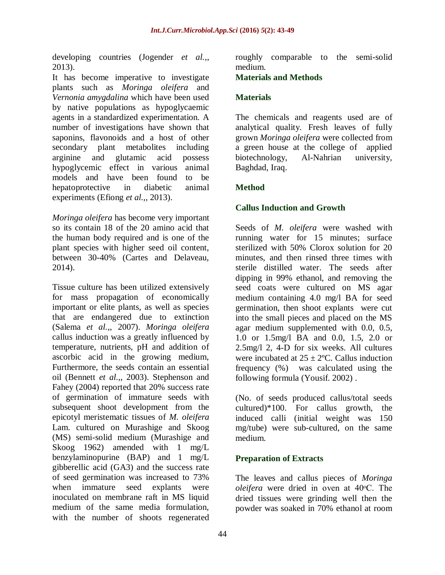developing countries (Jogender *et al.,*, 2013).

It has become imperative to investigate plants such as *Moringa oleifera* and *Vernonia amygdalina* which have been used by native populations as hypoglycaemic agents in a standardized experimentation. A number of investigations have shown that saponins, flavonoids and a host of other secondary plant metabolites including arginine and glutamic acid possess hypoglycemic effect in various animal models and have been found to be hepatoprotective in diabetic animal experiments (Efiong *et al.,*, 2013).

*Moringa oleifera* has become very important so its contain 18 of the 20 amino acid that the human body required and is one of the plant species with higher seed oil content, between 30-40% (Cartes and Delaveau, 2014).

Tissue culture has been utilized extensively for mass propagation of economically important or elite plants, as well as species that are endangered due to extinction (Salema *et al.,*, 2007). *Moringa oleifera* callus induction was a greatly influenced by temperature, nutrients, pH and addition of ascorbic acid in the growing medium, Furthermore, the seeds contain an essential oil (Bennett *et al.,*, 2003). Stephenson and Fahey (2004) reported that 20% success rate of germination of immature seeds with subsequent shoot development from the epicotyl meristematic tissues of *M. oleifera*  Lam. cultured on Murashige and Skoog (MS) semi-solid medium (Murashige and Skoog 1962) amended with 1 mg/L benzylaminopurine (BAP) and 1 mg/L gibberellic acid (GA3) and the success rate of seed germination was increased to 73% when immature seed explants were inoculated on membrane raft in MS liquid medium of the same media formulation, with the number of shoots regenerated

roughly comparable to the semi-solid medium.

#### **Materials and Methods**

#### **Materials**

The chemicals and reagents used are of analytical quality. Fresh leaves of fully grown *Moringa oleifera* were collected from a green house at the college of applied biotechnology, Al-Nahrian university, Baghdad, Iraq.

## **Method**

## **Callus Induction and Growth**

Seeds of *M. oleifera* were washed with running water for 15 minutes; surface sterilized with 50% Clorox solution for 20 minutes, and then rinsed three times with sterile distilled water. The seeds after dipping in 99% ethanol, and removing the seed coats were cultured on MS agar medium containing 4.0 mg/l BA for seed germination, then shoot explants were cut into the small pieces and placed on the MS agar medium supplemented with 0.0, 0.5, 1.0 or 1.5mg/l BA and 0.0, 1.5, 2.0 or 2.5mg/l 2, 4-D for six weeks. All cultures were incubated at  $25 \pm 2$ °C. Callus induction frequency (%) was calculated using the following formula (Yousif. 2002) .

(No. of seeds produced callus/total seeds cultured)\*100. For callus growth, the induced calli (initial weight was 150 mg/tube) were sub-cultured, on the same medium.

## **Preparation of Extracts**

The leaves and callus pieces of *Moringa oleifera* were dried in oven at 40ᵒC. The dried tissues were grinding well then the powder was soaked in 70% ethanol at room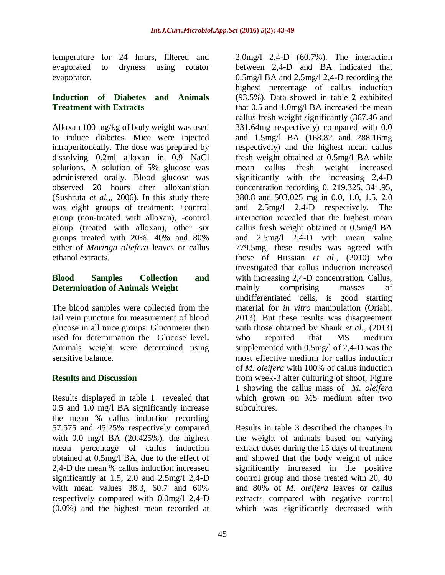temperature for 24 hours, filtered and evaporated to dryness using rotator evaporator.

## **Induction of Diabetes and Animals Treatment with Extracts**

Alloxan 100 mg/kg of body weight was used to induce diabetes. Mice were injected intraperitoneally. The dose was prepared by dissolving 0.2ml alloxan in 0.9 NaCl solutions. A solution of 5% glucose was administered orally. Blood glucose was observed 20 hours after alloxanistion (Sushruta *et al.,,* 2006). In this study there was eight groups of treatment: +control group (non-treated with alloxan), -control group (treated with alloxan), other six groups treated with 20%, 40% and 80% either of *Moringa oliefera* leaves or callus ethanol extracts.

## **Blood Samples Collection and Determination of Animals Weight**

The blood samples were collected from the tail vein puncture for measurement of blood glucose in all mice groups. Glucometer then used for determination the Glucose level**.**  Animals weight were determined using sensitive balance.

# **Results and Discussion**

Results displayed in table 1 revealed that 0.5 and 1.0 mg/l BA significantly increase the mean % callus induction recording 57.575 and 45.25% respectively compared with 0.0 mg/l BA (20.425%), the highest mean percentage of callus induction obtained at 0.5mg/l BA, due to the effect of 2,4-D the mean % callus induction increased significantly at 1.5, 2.0 and 2.5mg/l 2,4-D with mean values 38.3, 60.7 and 60% respectively compared with 0.0mg/l 2,4-D (0.0%) and the highest mean recorded at

2.0mg/l 2,4-D (60.7%). The interaction between 2,4-D and BA indicated that 0.5mg/l BA and 2.5mg/l 2,4-D recording the highest percentage of callus induction (93.5%). Data showed in table 2 exhibited that 0.5 and 1.0mg/l BA increased the mean callus fresh weight significantly (367.46 and 331.64mg respectively) compared with 0.0 and 1.5mg/l BA (168.82 and 288.16mg respectively) and the highest mean callus fresh weight obtained at 0.5mg/l BA while mean callus fresh weight increased significantly with the increasing 2,4-D concentration recording 0, 219.325, 341.95, 380.8 and 503.025 mg in 0.0, 1.0, 1.5, 2.0 and 2.5mg/l 2,4-D respectively. The interaction revealed that the highest mean callus fresh weight obtained at 0.5mg/l BA and 2.5mg/l 2,4-D with mean value 779.5mg, these results was agreed with those of Hussian *et al.,* (2010) who investigated that callus induction increased with increasing 2,4-D concentration. Callus, mainly comprising masses of undifferentiated cells, is good starting material for *in vitro* manipulation (Oriabi, 2013). But these results was disagreement with those obtained by Shank *et al.,* (2013) who reported that MS medium supplemented with 0.5mg/l of 2,4-D was the most effective medium for callus induction of *M. oleifera* with 100% of callus induction from week-3 after culturing of shoot, Figure 1 showing the callus mass of *M. oleifera* which grown on MS medium after two subcultures.

Results in table 3 described the changes in the weight of animals based on varying extract doses during the 15 days of treatment and showed that the body weight of mice significantly increased in the positive control group and those treated with 20, 40 and 80% of *M. oleifera* leaves or callus extracts compared with negative control which was significantly decreased with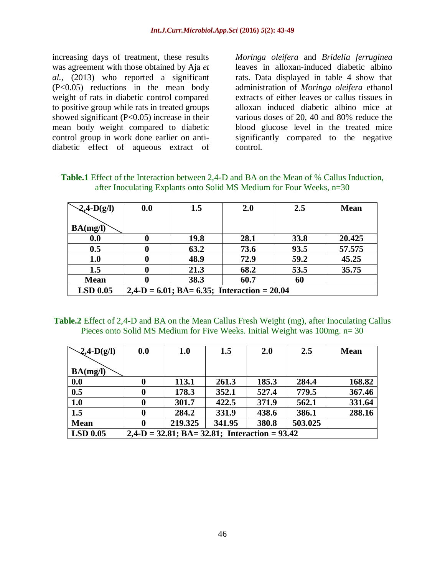increasing days of treatment, these results was agreement with those obtained by Aja *et al.,* (2013) who reported a significant (P<0.05) reductions in the mean body weight of rats in diabetic control compared to positive group while rats in treated groups showed significant (P<0.05) increase in their mean body weight compared to diabetic control group in work done earlier on antidiabetic effect of aqueous extract of *Moringa oleifera* and *Bridelia ferruginea*  leaves in alloxan-induced diabetic albino rats. Data displayed in table 4 show that administration of *Moringa oleifera* ethanol extracts of either leaves or callus tissues in alloxan induced diabetic albino mice at various doses of 20, 40 and 80% reduce the blood glucose level in the treated mice significantly compared to the negative control.

| <b>Table.1</b> Effect of the Interaction between 2,4-D and BA on the Mean of % Callus Induction, |  |  |
|--------------------------------------------------------------------------------------------------|--|--|
| after Inoculating Explants onto Solid MS Medium for Four Weeks, $n=30$                           |  |  |

| $-2,4-D(g/l)$   | 0.0 | 1.5                                            | 2.0  | 2.5  | <b>Mean</b> |  |
|-----------------|-----|------------------------------------------------|------|------|-------------|--|
| BA(mg/l)        |     |                                                |      |      |             |  |
| 0.0             |     | <b>19.8</b>                                    | 28.1 | 33.8 | 20.425      |  |
| 0.5             |     | 63.2                                           | 73.6 | 93.5 | 57.575      |  |
| 1.0             |     | 48.9                                           | 72.9 | 59.2 | 45.25       |  |
| 1.5             |     | 21.3                                           | 68.2 | 53.5 | 35.75       |  |
| <b>Mean</b>     |     | 38.3                                           | 60.7 | 60   |             |  |
| <b>LSD 0.05</b> |     | $2,4-D = 6.01$ ; BA= 6.35; Interaction = 20.04 |      |      |             |  |

**Table.2** Effect of 2,4-D and BA on the Mean Callus Fresh Weight (mg), after Inoculating Callus Pieces onto Solid MS Medium for Five Weeks. Initial Weight was 100mg. n= 30

| $\mathcal{L}$ ,4-D(g/l) | 0.0                                              | 1.0     | 1.5    | 2.0   | 2.5     | <b>Mean</b> |  |  |
|-------------------------|--------------------------------------------------|---------|--------|-------|---------|-------------|--|--|
|                         |                                                  |         |        |       |         |             |  |  |
| BA(mg/l)                |                                                  |         |        |       |         |             |  |  |
| 0.0                     | $\bf{0}$                                         | 113.1   | 261.3  | 185.3 | 284.4   | 168.82      |  |  |
| 0.5                     | 0                                                | 178.3   | 352.1  | 527.4 | 779.5   | 367.46      |  |  |
| 1.0                     | 0                                                | 301.7   | 422.5  | 371.9 | 562.1   | 331.64      |  |  |
| 1.5                     | $\bf{0}$                                         | 284.2   | 331.9  | 438.6 | 386.1   | 288.16      |  |  |
| <b>Mean</b>             | 0                                                | 219.325 | 341.95 | 380.8 | 503.025 |             |  |  |
| <b>LSD 0.05</b>         | $2,4-D = 32.81$ ; BA= 32.81; Interaction = 93.42 |         |        |       |         |             |  |  |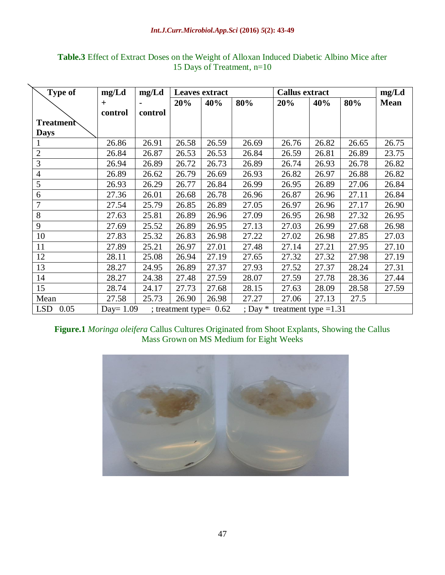#### *Int.J.Curr.Microbiol.App.Sci* **(2016)** *5***(2): 43-49**

| <b>Type of</b>     | mg/Ld        | mg/Ld   | <b>Leaves extract</b> |                          |       | <b>Callus extract</b>           |       |       | mg/Ld       |
|--------------------|--------------|---------|-----------------------|--------------------------|-------|---------------------------------|-------|-------|-------------|
|                    | $+$          |         | 20%                   | 40%                      | 80%   | 20%                             | 40%   | 80%   | <b>Mean</b> |
|                    | control      | control |                       |                          |       |                                 |       |       |             |
| <b>Treatment</b>   |              |         |                       |                          |       |                                 |       |       |             |
| <b>Days</b>        |              |         |                       |                          |       |                                 |       |       |             |
| 1                  | 26.86        | 26.91   | 26.58                 | 26.59                    | 26.69 | 26.76                           | 26.82 | 26.65 | 26.75       |
| $\overline{2}$     | 26.84        | 26.87   | 26.53                 | 26.53                    | 26.84 | 26.59                           | 26.81 | 26.89 | 23.75       |
| 3                  | 26.94        | 26.89   | 26.72                 | 26.73                    | 26.89 | 26.74                           | 26.93 | 26.78 | 26.82       |
| $\overline{4}$     | 26.89        | 26.62   | 26.79                 | 26.69                    | 26.93 | 26.82                           | 26.97 | 26.88 | 26.82       |
| 5                  | 26.93        | 26.29   | 26.77                 | 26.84                    | 26.99 | 26.95                           | 26.89 | 27.06 | 26.84       |
| 6                  | 27.36        | 26.01   | 26.68                 | 26.78                    | 26.96 | 26.87                           | 26.96 | 27.11 | 26.84       |
| 7                  | 27.54        | 25.79   | 26.85                 | 26.89                    | 27.05 | 26.97                           | 26.96 | 27.17 | 26.90       |
| 8                  | 27.63        | 25.81   | 26.89                 | 26.96                    | 27.09 | 26.95                           | 26.98 | 27.32 | 26.95       |
| 9                  | 27.69        | 25.52   | 26.89                 | 26.95                    | 27.13 | 27.03                           | 26.99 | 27.68 | 26.98       |
| 10                 | 27.83        | 25.32   | 26.83                 | 26.98                    | 27.22 | 27.02                           | 26.98 | 27.85 | 27.03       |
| 11                 | 27.89        | 25.21   | 26.97                 | 27.01                    | 27.48 | 27.14                           | 27.21 | 27.95 | 27.10       |
| 12                 | 28.11        | 25.08   | 26.94                 | 27.19                    | 27.65 | 27.32                           | 27.32 | 27.98 | 27.19       |
| 13                 | 28.27        | 24.95   | 26.89                 | 27.37                    | 27.93 | 27.52                           | 27.37 | 28.24 | 27.31       |
| 14                 | 28.27        | 24.38   | 27.48                 | 27.59                    | 28.07 | 27.59                           | 27.78 | 28.36 | 27.44       |
| 15                 | 28.74        | 24.17   | 27.73                 | 27.68                    | 28.15 | 27.63                           | 28.09 | 28.58 | 27.59       |
| Mean               | 27.58        | 25.73   | 26.90                 | 26.98                    | 27.27 | 27.06                           | 27.13 | 27.5  |             |
| 0.05<br><b>LSD</b> | Day = $1.09$ |         |                       | ; treatment type= $0.62$ |       | ; Day $*$ treatment type = 1.31 |       |       |             |

# **Table.3** Effect of Extract Doses on the Weight of Alloxan Induced Diabetic Albino Mice after 15 Days of Treatment, n=10

# **Figure.1** *Moringa oleifera* Callus Cultures Originated from Shoot Explants, Showing the Callus Mass Grown on MS Medium for Eight Weeks

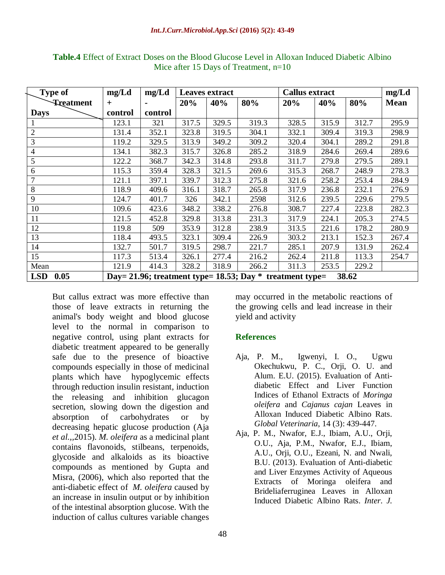| <b>Type of</b>           | mg/Ld                                                                  | mg/Ld   | <b>Leaves extract</b> |       |       | <b>Callus extract</b> |       |       | mg/Ld       |
|--------------------------|------------------------------------------------------------------------|---------|-----------------------|-------|-------|-----------------------|-------|-------|-------------|
| <b>Treatment</b>         | $+$                                                                    |         | 20%                   | 40%   | 80%   | 20%                   | 40%   | 80%   | <b>Mean</b> |
| <b>Days</b>              | control                                                                | control |                       |       |       |                       |       |       |             |
|                          | 123.1                                                                  | 321     | 317.5                 | 329.5 | 319.3 | 328.5                 | 315.9 | 312.7 | 295.9       |
| $\overline{2}$           | 131.4                                                                  | 352.1   | 323.8                 | 319.5 | 304.1 | 332.1                 | 309.4 | 319.3 | 298.9       |
| 3                        | 119.2                                                                  | 329.5   | 313.9                 | 349.2 | 309.2 | 320.4                 | 304.1 | 289.2 | 291.8       |
| $\overline{\mathcal{A}}$ | 134.1                                                                  | 382.3   | 315.7                 | 326.8 | 285.2 | 318.9                 | 284.6 | 269.4 | 289.6       |
| 5                        | 122.2                                                                  | 368.7   | 342.3                 | 314.8 | 293.8 | 311.7                 | 279.8 | 279.5 | 289.1       |
| 6                        | 115.3                                                                  | 359.4   | 328.3                 | 321.5 | 269.6 | 315.3                 | 268.7 | 248.9 | 278.3       |
| 7                        | 121.1                                                                  | 397.1   | 339.7                 | 312.3 | 275.8 | 321.6                 | 258.2 | 253.4 | 284.9       |
| 8                        | 118.9                                                                  | 409.6   | 316.1                 | 318.7 | 265.8 | 317.9                 | 236.8 | 232.1 | 276.9       |
| 9                        | 124.7                                                                  | 401.7   | 326                   | 342.1 | 2598  | 312.6                 | 239.5 | 229.6 | 279.5       |
| 10                       | 109.6                                                                  | 423.6   | 348.2                 | 338.2 | 276.8 | 308.7                 | 227.4 | 223.8 | 282.3       |
| 11                       | 121.5                                                                  | 452.8   | 329.8                 | 313.8 | 231.3 | 317.9                 | 224.1 | 205.3 | 274.5       |
| 12                       | 119.8                                                                  | 509     | 353.9                 | 312.8 | 238.9 | 313.5                 | 221.6 | 178.2 | 280.9       |
| 13                       | 118.4                                                                  | 493.5   | 323.1                 | 309.4 | 226.9 | 303.2                 | 213.1 | 152.3 | 267.4       |
| 14                       | 132.7                                                                  | 501.7   | 319.5                 | 298.7 | 221.7 | 285.1                 | 207.9 | 131.9 | 262.4       |
| 15                       | 117.3                                                                  | 513.4   | 326.1                 | 277.4 | 216.2 | 262.4                 | 211.8 | 113.3 | 254.7       |
| Mean                     | 121.9                                                                  | 414.3   | 328.2                 | 318.9 | 266.2 | 311.3                 | 253.5 | 229.2 |             |
| 0.05<br><b>LSD</b>       | Day = 21.96; treatment type = 18.53; Day $*$ treatment type =<br>38.62 |         |                       |       |       |                       |       |       |             |

**Table.4** Effect of Extract Doses on the Blood Glucose Level in Alloxan Induced Diabetic Albino Mice after 15 Days of Treatment, n=10

But callus extract was more effective than those of leave extracts in returning the animal's body weight and blood glucose level to the normal in comparison to negative control, using plant extracts for diabetic treatment appeared to be generally safe due to the presence of bioactive compounds especially in those of medicinal plants which have hypoglycemic effects through reduction insulin resistant, induction the releasing and inhibition glucagon secretion, slowing down the digestion and absorption of carbohydrates or by decreasing hepatic glucose production (Aja *et al.,,*2015). *M. oleifera* as a medicinal plant contains flavonoids, stilbeans, terpenoids, glycoside and alkaloids as its bioactive compounds as mentioned by Gupta and Misra, (2006), which also reported that the anti-diabetic effect of *M. oleifera* caused by an increase in insulin output or by inhibition of the intestinal absorption glucose. With the induction of callus cultures variable changes

may occurred in the metabolic reactions of the growing cells and lead increase in their yield and activity

## **References**

- Aja, P. M., Igwenyi, I. O., Ugwu Okechukwu, P. C., Orji, O. U. and Alum. E.U. (2015). Evaluation of Antidiabetic Effect and Liver Function Indices of Ethanol Extracts of *Moringa oleifera* and *Cajanus cajan* Leaves in Alloxan Induced Diabetic Albino Rats. *Global Veterinaria*, 14 (3): 439-447.
- Aja, P. M., Nwafor, E.J., Ibiam, A.U., Orji, O.U., Aja, P.M., Nwafor, E.J., Ibiam, A.U., Orji, O.U., Ezeani, N. and Nwali, B.U. (2013). Evaluation of Anti-diabetic and Liver Enzymes Activity of Aqueous Extracts of Moringa oleifera and Brideliaferruginea Leaves in Alloxan Induced Diabetic Albino Rats. *Inter. J.*